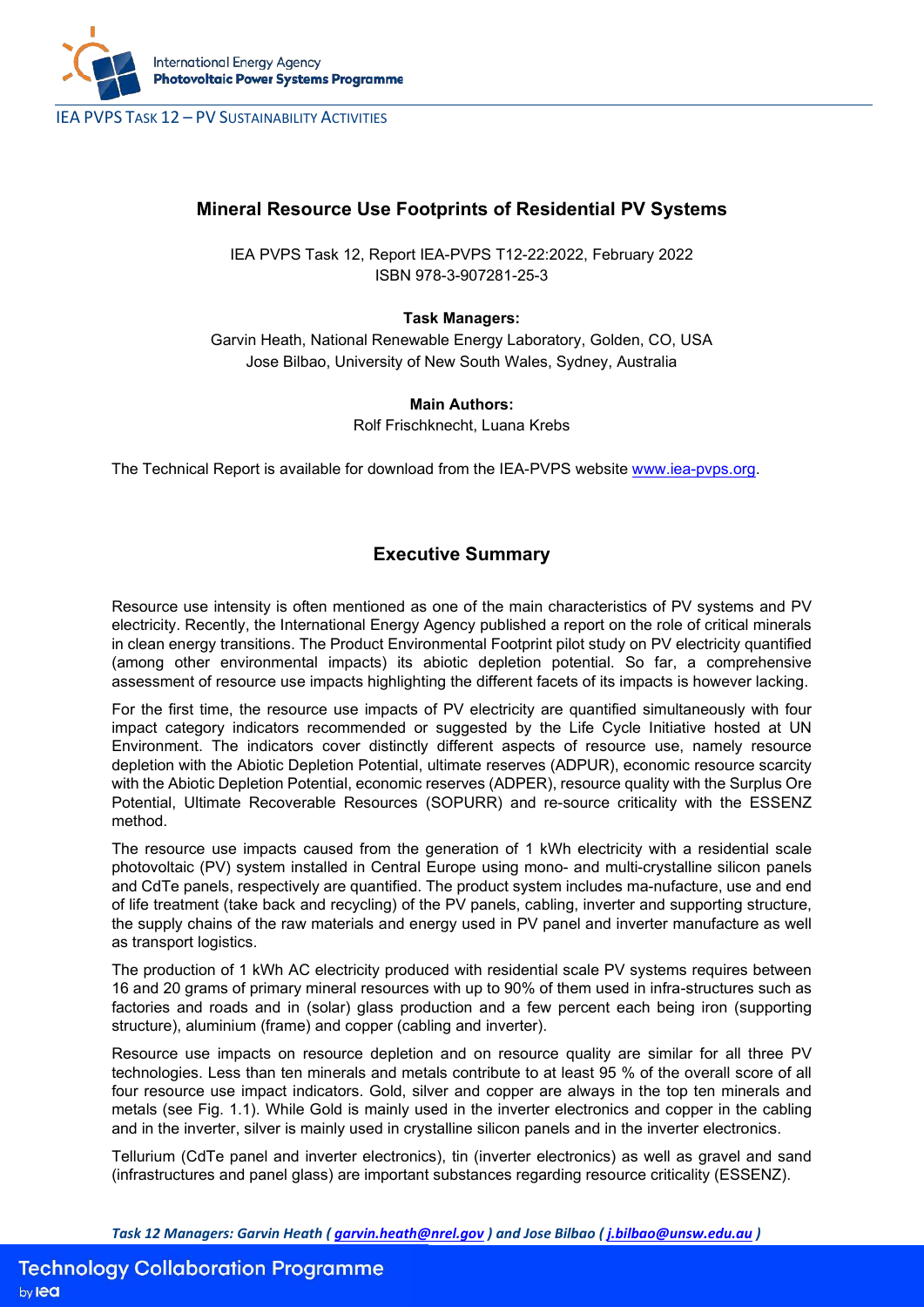

IEA PVPS TASK 12 – PV SUSTAINABILITY ACTIVITIES

# **Mineral Resource Use Footprints of Residential PV Systems**

IEA PVPS Task 12, Report IEA-PVPS T12-22:2022, February 2022 ISBN 978-3-907281-25-3

### **Task Managers:**

Garvin Heath, National Renewable Energy Laboratory, Golden, CO, USA Jose Bilbao, University of New South Wales, Sydney, Australia

### **Main Authors:**

Rolf Frischknecht, Luana Krebs

The Technical Report is available for download from the IEA-PVPS website [www.iea-pvps.org.](http://www.iea-pvps.org/)

## **Executive Summary**

Resource use intensity is often mentioned as one of the main characteristics of PV systems and PV electricity. Recently, the International Energy Agency published a report on the role of critical minerals in clean energy transitions. The Product Environmental Footprint pilot study on PV electricity quantified (among other environmental impacts) its abiotic depletion potential. So far, a comprehensive assessment of resource use impacts highlighting the different facets of its impacts is however lacking.

For the first time, the resource use impacts of PV electricity are quantified simultaneously with four impact category indicators recommended or suggested by the Life Cycle Initiative hosted at UN Environment. The indicators cover distinctly different aspects of resource use, namely resource depletion with the Abiotic Depletion Potential, ultimate reserves (ADPUR), economic resource scarcity with the Abiotic Depletion Potential, economic reserves (ADPER), resource quality with the Surplus Ore Potential, Ultimate Recoverable Resources (SOPURR) and re-source criticality with the ESSENZ method.

The resource use impacts caused from the generation of 1 kWh electricity with a residential scale photovoltaic (PV) system installed in Central Europe using mono- and multi-crystalline silicon panels and CdTe panels, respectively are quantified. The product system includes ma-nufacture, use and end of life treatment (take back and recycling) of the PV panels, cabling, inverter and supporting structure, the supply chains of the raw materials and energy used in PV panel and inverter manufacture as well as transport logistics.

The production of 1 kWh AC electricity produced with residential scale PV systems requires between 16 and 20 grams of primary mineral resources with up to 90% of them used in infra-structures such as factories and roads and in (solar) glass production and a few percent each being iron (supporting structure), aluminium (frame) and copper (cabling and inverter).

Resource use impacts on resource depletion and on resource quality are similar for all three PV technologies. Less than ten minerals and metals contribute to at least 95 % of the overall score of all four resource use impact indicators. Gold, silver and copper are always in the top ten minerals and metals (see Fig. 1.1). While Gold is mainly used in the inverter electronics and copper in the cabling and in the inverter, silver is mainly used in crystalline silicon panels and in the inverter electronics.

Tellurium (CdTe panel and inverter electronics), tin (inverter electronics) as well as gravel and sand (infrastructures and panel glass) are important substances regarding resource criticality (ESSENZ).